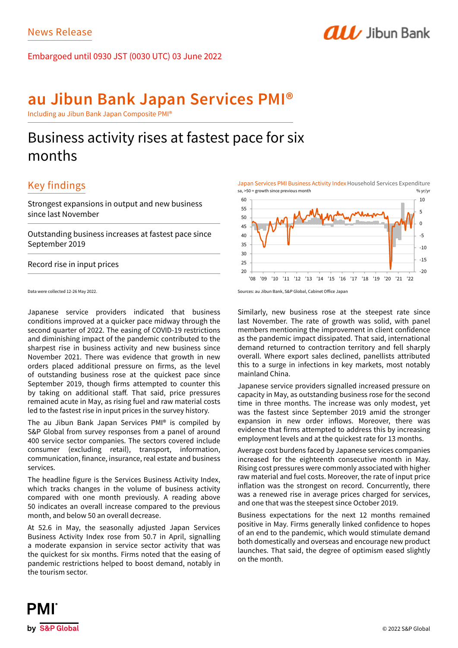Embargoed until 0930 JST (0030 UTC) 03 June 2022

# **au Jibun Bank Japan Services PMI®**

Including au Jibun Bank Japan Composite PMI®

# Business activity rises at fastest pace for six months

# Key findings

Strongest expansions in output and new business since last November

Outstanding business increases at fastest pace since September 2019

Record rise in input prices

Data were collected 12-26 May 2022.

Japanese service providers indicated that business conditions improved at a quicker pace midway through the second quarter of 2022. The easing of COVID-19 restrictions and diminishing impact of the pandemic contributed to the sharpest rise in business activity and new business since November 2021. There was evidence that growth in new orders placed additional pressure on firms, as the level of outstanding business rose at the quickest pace since September 2019, though firms attempted to counter this by taking on additional staff. That said, price pressures remained acute in May, as rising fuel and raw material costs led to the fastest rise in input prices in the survey history.

The au Jibun Bank Japan Services PMI® is compiled by S&P Global from survey responses from a panel of around 400 service sector companies. The sectors covered include consumer (excluding retail), transport, information, communication, finance, insurance, real estate and business services.

The headline figure is the Services Business Activity Index, which tracks changes in the volume of business activity compared with one month previously. A reading above 50 indicates an overall increase compared to the previous month, and below 50 an overall decrease.

At 52.6 in May, the seasonally adjusted Japan Services Business Activity Index rose from 50.7 in April, signalling a moderate expansion in service sector activity that was the quickest for six months. Firms noted that the easing of pandemic restrictions helped to boost demand, notably in the tourism sector.

Japan Services PMI Business Activity Index Household Services Expenditure sa, >50 = growth since previous month % yr/yr

**ALL** Jibun Bank



Sources: au Jibun Bank, S&P Global, Cabinet Office Japan

Similarly, new business rose at the steepest rate since last November. The rate of growth was solid, with panel members mentioning the improvement in client confidence as the pandemic impact dissipated. That said, international demand returned to contraction territory and fell sharply overall. Where export sales declined, panellists attributed this to a surge in infections in key markets, most notably mainland China.

Japanese service providers signalled increased pressure on capacity in May, as outstanding business rose for the second time in three months. The increase was only modest, yet was the fastest since September 2019 amid the stronger expansion in new order inflows. Moreover, there was evidence that firms attempted to address this by increasing employment levels and at the quickest rate for 13 months.

Average cost burdens faced by Japanese services companies increased for the eighteenth consecutive month in May. Rising cost pressures were commonly associated with higher raw material and fuel costs. Moreover, the rate of input price inflation was the strongest on record. Concurrently, there was a renewed rise in average prices charged for services, and one that was the steepest since October 2019.

Business expectations for the next 12 months remained positive in May. Firms generally linked confidence to hopes of an end to the pandemic, which would stimulate demand both domestically and overseas and encourage new product launches. That said, the degree of optimism eased slightly on the month.

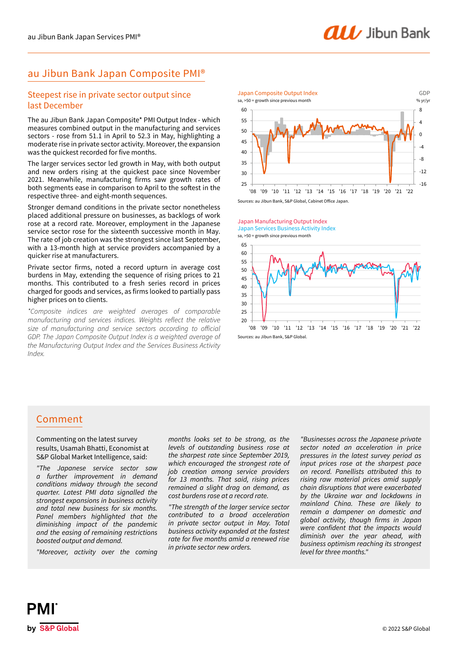## au Jibun Bank Japan Composite PMI®

## Steepest rise in private sector output since last December

The au Jibun Bank Japan Composite\* PMI Output Index - which measures combined output in the manufacturing and services sectors - rose from 51.1 in April to 52.3 in May, highlighting a moderate rise in private sector activity. Moreover, the expansion was the quickest recorded for five months.

The larger services sector led growth in May, with both output and new orders rising at the quickest pace since November 2021. Meanwhile, manufacturing firms saw growth rates of both segments ease in comparison to April to the softest in the respective three- and eight-month sequences.

Stronger demand conditions in the private sector nonetheless placed additional pressure on businesses, as backlogs of work rose at a record rate. Moreover, employment in the Japanese service sector rose for the sixteenth successive month in May. The rate of job creation was the strongest since last September, with a 13-month high at service providers accompanied by a quicker rise at manufacturers.

Private sector firms, noted a record upturn in average cost burdens in May, extending the sequence of rising prices to 21 months. This contributed to a fresh series record in prices charged for goods and services, as firms looked to partially pass higher prices on to clients.

*\*Composite indices are weighted averages of comparable manufacturing and services indices. Weights reflect the relative size of manufacturing and service sectors according to official GDP. The Japan Composite Output Index is a weighted average of the Manufacturing Output Index and the Services Business Activity Index.*



Japan Manufacturing Output Index sa, >50 = growth since previous month Japan Services Business Activity Index



## Comment

Commenting on the latest survey results, Usamah Bhatti, Economist at S&P Global Market Intelligence, said:

*"The Japanese service sector saw a further improvement in demand conditions midway through the second quarter. Latest PMI data signalled the strongest expansions in business activity and total new business for six months. Panel members highlighted that the diminishing impact of the pandemic and the easing of remaining restrictions boosted output and demand.* 

*"Moreover, activity over the coming* 

*months looks set to be strong, as the levels of outstanding business rose at the sharpest rate since September 2019, which encouraged the strongest rate of job creation among service providers for 13 months. That said, rising prices remained a slight drag on demand, as cost burdens rose at a record rate.*

*"The strength of the larger service sector contributed to a broad acceleration in private sector output in May. Total business activity expanded at the fastest*  rate for five months amid a renewed rise *in private sector new orders.* 

*"Businesses across the Japanese private sector noted an acceleration in price pressures in the latest survey period as input prices rose at the sharpest pace on record. Panellists attributed this to rising raw material prices amid supply chain disruptions that were exacerbated by the Ukraine war and lockdowns in mainland China. These are likely to remain a dampener on domestic and*  global activity, though firms in Japan were confident that the impacts would *diminish over the year ahead, with business optimism reaching its strongest level for three months."*